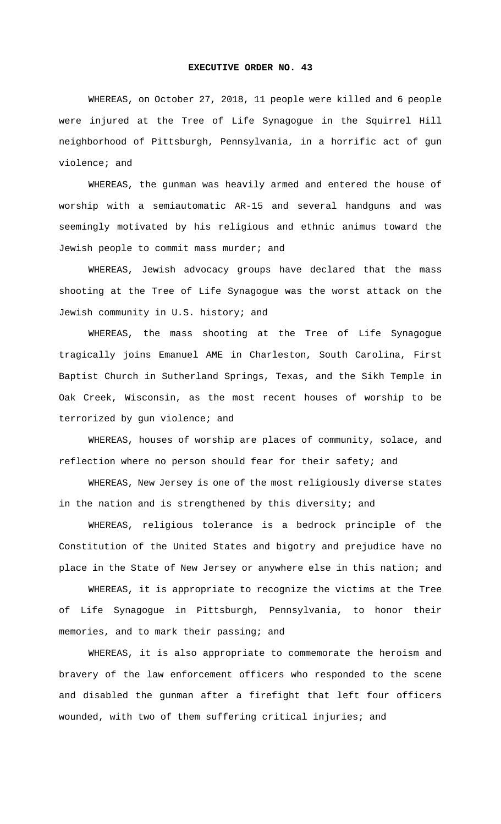## **EXECUTIVE ORDER NO. 43**

WHEREAS, on October 27, 2018, 11 people were killed and 6 people were injured at the Tree of Life Synagogue in the Squirrel Hill neighborhood of Pittsburgh, Pennsylvania, in a horrific act of gun violence; and

WHEREAS, the gunman was heavily armed and entered the house of worship with a semiautomatic AR-15 and several handguns and was seemingly motivated by his religious and ethnic animus toward the Jewish people to commit mass murder; and

WHEREAS, Jewish advocacy groups have declared that the mass shooting at the Tree of Life Synagogue was the worst attack on the Jewish community in U.S. history; and

WHEREAS, the mass shooting at the Tree of Life Synagogue tragically joins Emanuel AME in Charleston, South Carolina, First Baptist Church in Sutherland Springs, Texas, and the Sikh Temple in Oak Creek, Wisconsin, as the most recent houses of worship to be terrorized by gun violence; and

WHEREAS, houses of worship are places of community, solace, and reflection where no person should fear for their safety; and

WHEREAS, New Jersey is one of the most religiously diverse states in the nation and is strengthened by this diversity; and

WHEREAS, religious tolerance is a bedrock principle of the Constitution of the United States and bigotry and prejudice have no place in the State of New Jersey or anywhere else in this nation; and

WHEREAS, it is appropriate to recognize the victims at the Tree of Life Synagogue in Pittsburgh, Pennsylvania, to honor their memories, and to mark their passing; and

WHEREAS, it is also appropriate to commemorate the heroism and bravery of the law enforcement officers who responded to the scene and disabled the gunman after a firefight that left four officers wounded, with two of them suffering critical injuries; and